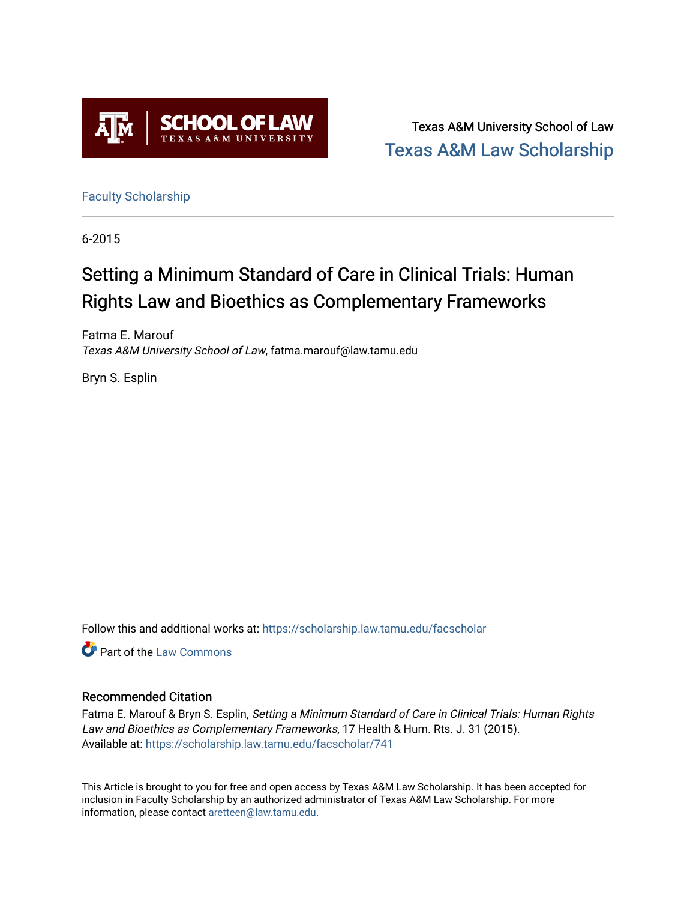

Texas A&M University School of Law [Texas A&M Law Scholarship](https://scholarship.law.tamu.edu/) 

[Faculty Scholarship](https://scholarship.law.tamu.edu/facscholar)

6-2015

## Setting a Minimum Standard of Care in Clinical Trials: Human Rights Law and Bioethics as Complementary Frameworks

Fatma E. Marouf Texas A&M University School of Law, fatma.marouf@law.tamu.edu

Bryn S. Esplin

Follow this and additional works at: [https://scholarship.law.tamu.edu/facscholar](https://scholarship.law.tamu.edu/facscholar?utm_source=scholarship.law.tamu.edu%2Ffacscholar%2F741&utm_medium=PDF&utm_campaign=PDFCoverPages) 

**C** Part of the [Law Commons](http://network.bepress.com/hgg/discipline/578?utm_source=scholarship.law.tamu.edu%2Ffacscholar%2F741&utm_medium=PDF&utm_campaign=PDFCoverPages)

#### Recommended Citation

Fatma E. Marouf & Bryn S. Esplin, Setting a Minimum Standard of Care in Clinical Trials: Human Rights Law and Bioethics as Complementary Frameworks, 17 Health & Hum. Rts. J. 31 (2015). Available at: [https://scholarship.law.tamu.edu/facscholar/741](https://scholarship.law.tamu.edu/facscholar/741?utm_source=scholarship.law.tamu.edu%2Ffacscholar%2F741&utm_medium=PDF&utm_campaign=PDFCoverPages)

This Article is brought to you for free and open access by Texas A&M Law Scholarship. It has been accepted for inclusion in Faculty Scholarship by an authorized administrator of Texas A&M Law Scholarship. For more information, please contact [aretteen@law.tamu.edu](mailto:aretteen@law.tamu.edu).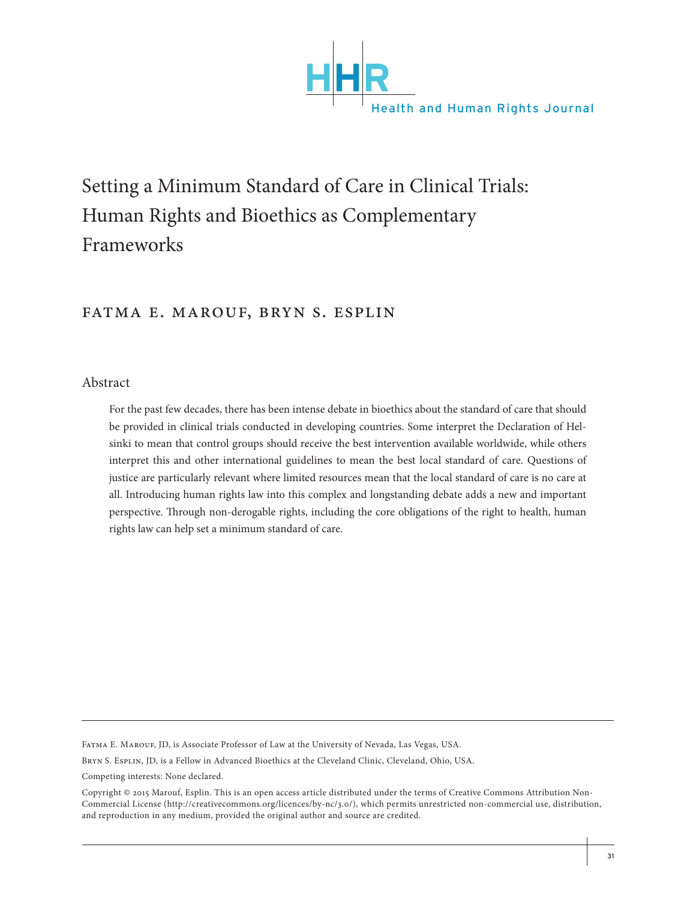

# Setting a Minimum Standard of Care in Clinical Trials: Human Rights and Bioethics as Complementary Frameworks

## Fatma E. Marouf, Bryn s. esplin

Abstract

For the past few decades, there has been intense debate in bioethics about the standard of care that should be provided in clinical trials conducted in developing countries. Some interpret the Declaration of Helsinki to mean that control groups should receive the best intervention available worldwide, while others interpret this and other international guidelines to mean the best local standard of care. Questions of justice are particularly relevant where limited resources mean that the local standard of care is no care at all. Introducing human rights law into this complex and longstanding debate adds a new and important perspective. Through non-derogable rights, including the core obligations of the right to health, human rights law can help set a minimum standard of care.

FATMA E. MAROUF, JD, is Associate Professor of Law at the University of Nevada, Las Vegas, USA.

Bryn S. Esplin, JD, is a Fellow in Advanced Bioethics at the Cleveland Clinic, Cleveland, Ohio, USA.

Competing interests: None declared.

Copyright © 2015 Marouf, Esplin. This is an open access article distributed under the terms of Creative Commons Attribution Non-Commercial License (http://creativecommons.org/licences/by-nc/3.0/), which permits unrestricted non-commercial use, distribution, and reproduction in any medium, provided the original author and source are credited.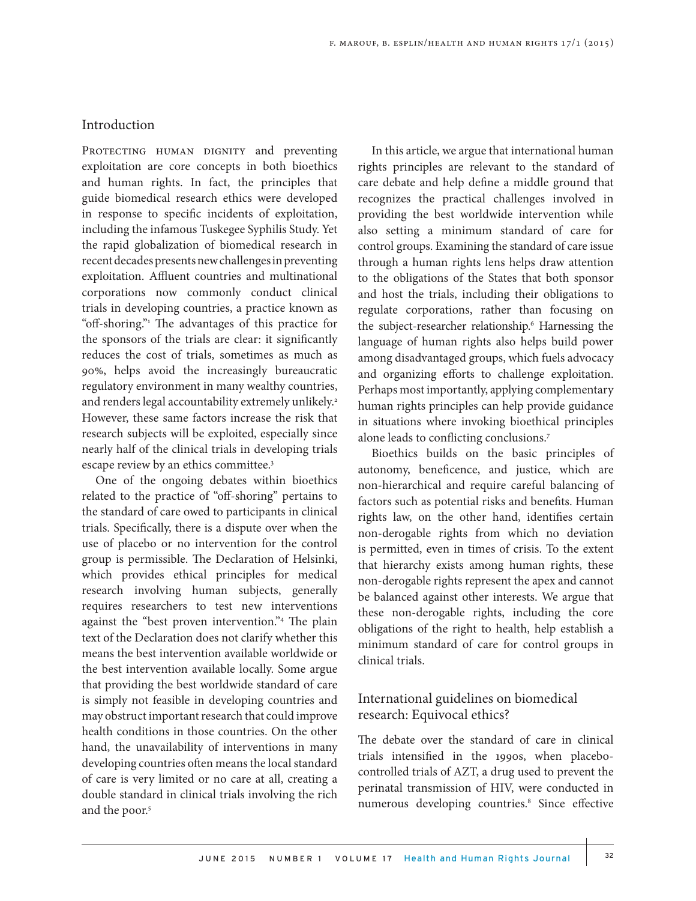#### Introduction

PROTECTING HUMAN DIGNITY and preventing exploitation are core concepts in both bioethics and human rights. In fact, the principles that guide biomedical research ethics were developed in response to specific incidents of exploitation, including the infamous Tuskegee Syphilis Study. Yet the rapid globalization of biomedical research in recent decades presents new challenges in preventing exploitation. Affluent countries and multinational corporations now commonly conduct clinical trials in developing countries, a practice known as "off-shoring."1 The advantages of this practice for the sponsors of the trials are clear: it significantly reduces the cost of trials, sometimes as much as 90%, helps avoid the increasingly bureaucratic regulatory environment in many wealthy countries, and renders legal accountability extremely unlikely.<sup>2</sup> However, these same factors increase the risk that research subjects will be exploited, especially since nearly half of the clinical trials in developing trials escape review by an ethics committee.<sup>3</sup>

One of the ongoing debates within bioethics related to the practice of "off-shoring" pertains to the standard of care owed to participants in clinical trials. Specifically, there is a dispute over when the use of placebo or no intervention for the control group is permissible. The Declaration of Helsinki, which provides ethical principles for medical research involving human subjects, generally requires researchers to test new interventions against the "best proven intervention."4 The plain text of the Declaration does not clarify whether this means the best intervention available worldwide or the best intervention available locally. Some argue that providing the best worldwide standard of care is simply not feasible in developing countries and may obstruct important research that could improve health conditions in those countries. On the other hand, the unavailability of interventions in many developing countries often means the local standard of care is very limited or no care at all, creating a double standard in clinical trials involving the rich and the poor.<sup>5</sup>

In this article, we argue that international human rights principles are relevant to the standard of care debate and help define a middle ground that recognizes the practical challenges involved in providing the best worldwide intervention while also setting a minimum standard of care for control groups. Examining the standard of care issue through a human rights lens helps draw attention to the obligations of the States that both sponsor and host the trials, including their obligations to regulate corporations, rather than focusing on the subject-researcher relationship.<sup>6</sup> Harnessing the language of human rights also helps build power among disadvantaged groups, which fuels advocacy and organizing efforts to challenge exploitation. Perhaps most importantly, applying complementary human rights principles can help provide guidance in situations where invoking bioethical principles alone leads to conflicting conclusions.7

Bioethics builds on the basic principles of autonomy, beneficence, and justice, which are non-hierarchical and require careful balancing of factors such as potential risks and benefits. Human rights law, on the other hand, identifies certain non-derogable rights from which no deviation is permitted, even in times of crisis. To the extent that hierarchy exists among human rights, these non-derogable rights represent the apex and cannot be balanced against other interests. We argue that these non-derogable rights, including the core obligations of the right to health, help establish a minimum standard of care for control groups in clinical trials.

## International guidelines on biomedical research: Equivocal ethics?

The debate over the standard of care in clinical trials intensified in the 1990s, when placebocontrolled trials of AZT, a drug used to prevent the perinatal transmission of HIV, were conducted in numerous developing countries.<sup>8</sup> Since effective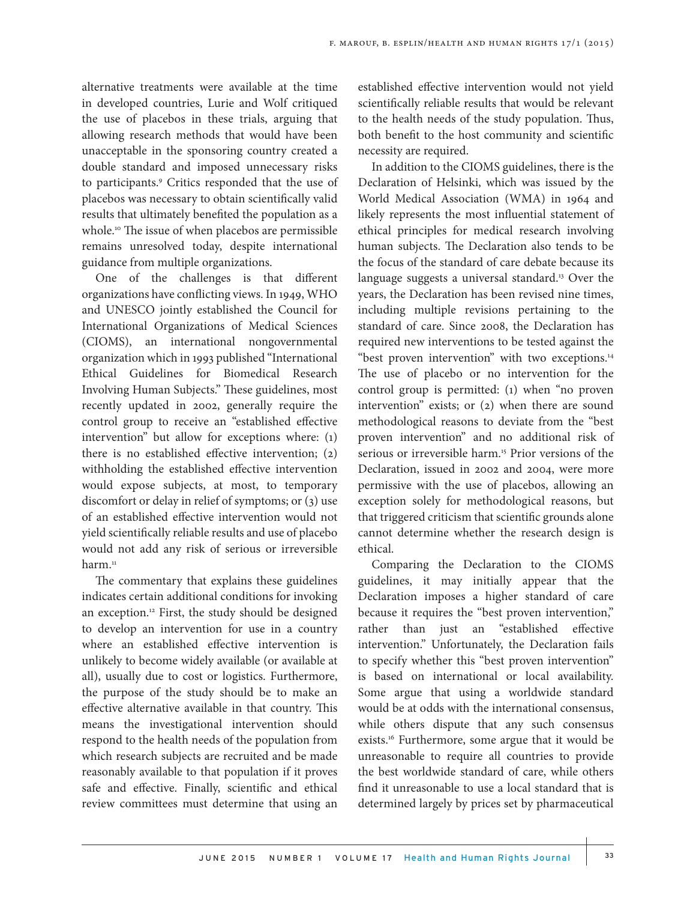alternative treatments were available at the time in developed countries, Lurie and Wolf critiqued the use of placebos in these trials, arguing that allowing research methods that would have been unacceptable in the sponsoring country created a double standard and imposed unnecessary risks to participants.9 Critics responded that the use of placebos was necessary to obtain scientifically valid results that ultimately benefited the population as a whole.<sup>10</sup> The issue of when placebos are permissible remains unresolved today, despite international guidance from multiple organizations.

One of the challenges is that different organizations have conflicting views. In 1949, WHO and UNESCO jointly established the Council for International Organizations of Medical Sciences (CIOMS), an international nongovernmental organization which in 1993 published "International Ethical Guidelines for Biomedical Research Involving Human Subjects." These guidelines, most recently updated in 2002, generally require the control group to receive an "established effective intervention" but allow for exceptions where: (1) there is no established effective intervention; (2) withholding the established effective intervention would expose subjects, at most, to temporary discomfort or delay in relief of symptoms; or (3) use of an established effective intervention would not yield scientifically reliable results and use of placebo would not add any risk of serious or irreversible harm.<sup>11</sup>

The commentary that explains these guidelines indicates certain additional conditions for invoking an exception.<sup>12</sup> First, the study should be designed to develop an intervention for use in a country where an established effective intervention is unlikely to become widely available (or available at all), usually due to cost or logistics. Furthermore, the purpose of the study should be to make an effective alternative available in that country. This means the investigational intervention should respond to the health needs of the population from which research subjects are recruited and be made reasonably available to that population if it proves safe and effective. Finally, scientific and ethical review committees must determine that using an

established effective intervention would not yield scientifically reliable results that would be relevant to the health needs of the study population. Thus, both benefit to the host community and scientific necessity are required.

In addition to the CIOMS guidelines, there is the Declaration of Helsinki, which was issued by the World Medical Association (WMA) in 1964 and likely represents the most influential statement of ethical principles for medical research involving human subjects. The Declaration also tends to be the focus of the standard of care debate because its language suggests a universal standard.<sup>13</sup> Over the years, the Declaration has been revised nine times, including multiple revisions pertaining to the standard of care. Since 2008, the Declaration has required new interventions to be tested against the "best proven intervention" with two exceptions.14 The use of placebo or no intervention for the control group is permitted: (1) when "no proven intervention" exists; or (2) when there are sound methodological reasons to deviate from the "best proven intervention" and no additional risk of serious or irreversible harm.<sup>15</sup> Prior versions of the Declaration, issued in 2002 and 2004, were more permissive with the use of placebos, allowing an exception solely for methodological reasons, but that triggered criticism that scientific grounds alone cannot determine whether the research design is ethical.

Comparing the Declaration to the CIOMS guidelines, it may initially appear that the Declaration imposes a higher standard of care because it requires the "best proven intervention," rather than just an "established effective intervention." Unfortunately, the Declaration fails to specify whether this "best proven intervention" is based on international or local availability. Some argue that using a worldwide standard would be at odds with the international consensus, while others dispute that any such consensus exists.16 Furthermore, some argue that it would be unreasonable to require all countries to provide the best worldwide standard of care, while others find it unreasonable to use a local standard that is determined largely by prices set by pharmaceutical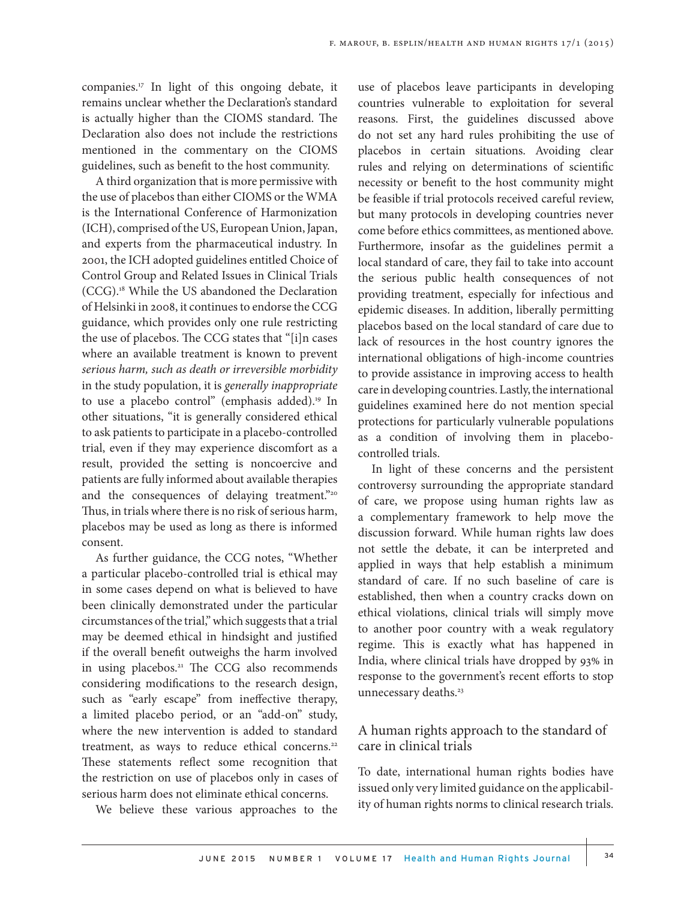companies.17 In light of this ongoing debate, it remains unclear whether the Declaration's standard is actually higher than the CIOMS standard. The Declaration also does not include the restrictions mentioned in the commentary on the CIOMS guidelines, such as benefit to the host community.

A third organization that is more permissive with the use of placebos than either CIOMS or the WMA is the International Conference of Harmonization (ICH), comprised of the US, European Union, Japan, and experts from the pharmaceutical industry. In 2001, the ICH adopted guidelines entitled Choice of Control Group and Related Issues in Clinical Trials (CCG).18 While the US abandoned the Declaration of Helsinki in 2008, it continues to endorse the CCG guidance, which provides only one rule restricting the use of placebos. The CCG states that "[i]n cases where an available treatment is known to prevent *serious harm, such as death or irreversible morbidity* in the study population, it is *generally inappropriate*  to use a placebo control" (emphasis added).<sup>19</sup> In other situations, "it is generally considered ethical to ask patients to participate in a placebo-controlled trial, even if they may experience discomfort as a result, provided the setting is noncoercive and patients are fully informed about available therapies and the consequences of delaying treatment."20 Thus, in trials where there is no risk of serious harm, placebos may be used as long as there is informed consent.

As further guidance, the CCG notes, "Whether a particular placebo-controlled trial is ethical may in some cases depend on what is believed to have been clinically demonstrated under the particular circumstances of the trial," which suggests that a trial may be deemed ethical in hindsight and justified if the overall benefit outweighs the harm involved in using placebos.<sup>21</sup> The CCG also recommends considering modifications to the research design, such as "early escape" from ineffective therapy, a limited placebo period, or an "add-on" study, where the new intervention is added to standard treatment, as ways to reduce ethical concerns.<sup>22</sup> These statements reflect some recognition that the restriction on use of placebos only in cases of serious harm does not eliminate ethical concerns.

We believe these various approaches to the

use of placebos leave participants in developing countries vulnerable to exploitation for several reasons. First, the guidelines discussed above do not set any hard rules prohibiting the use of placebos in certain situations. Avoiding clear rules and relying on determinations of scientific necessity or benefit to the host community might be feasible if trial protocols received careful review, but many protocols in developing countries never come before ethics committees, as mentioned above. Furthermore, insofar as the guidelines permit a local standard of care, they fail to take into account the serious public health consequences of not providing treatment, especially for infectious and epidemic diseases. In addition, liberally permitting placebos based on the local standard of care due to lack of resources in the host country ignores the international obligations of high-income countries to provide assistance in improving access to health care in developing countries. Lastly, the international guidelines examined here do not mention special protections for particularly vulnerable populations as a condition of involving them in placebocontrolled trials.

In light of these concerns and the persistent controversy surrounding the appropriate standard of care, we propose using human rights law as a complementary framework to help move the discussion forward. While human rights law does not settle the debate, it can be interpreted and applied in ways that help establish a minimum standard of care. If no such baseline of care is established, then when a country cracks down on ethical violations, clinical trials will simply move to another poor country with a weak regulatory regime. This is exactly what has happened in India, where clinical trials have dropped by 93% in response to the government's recent efforts to stop unnecessary deaths.<sup>23</sup>

#### A human rights approach to the standard of care in clinical trials

To date, international human rights bodies have issued only very limited guidance on the applicability of human rights norms to clinical research trials.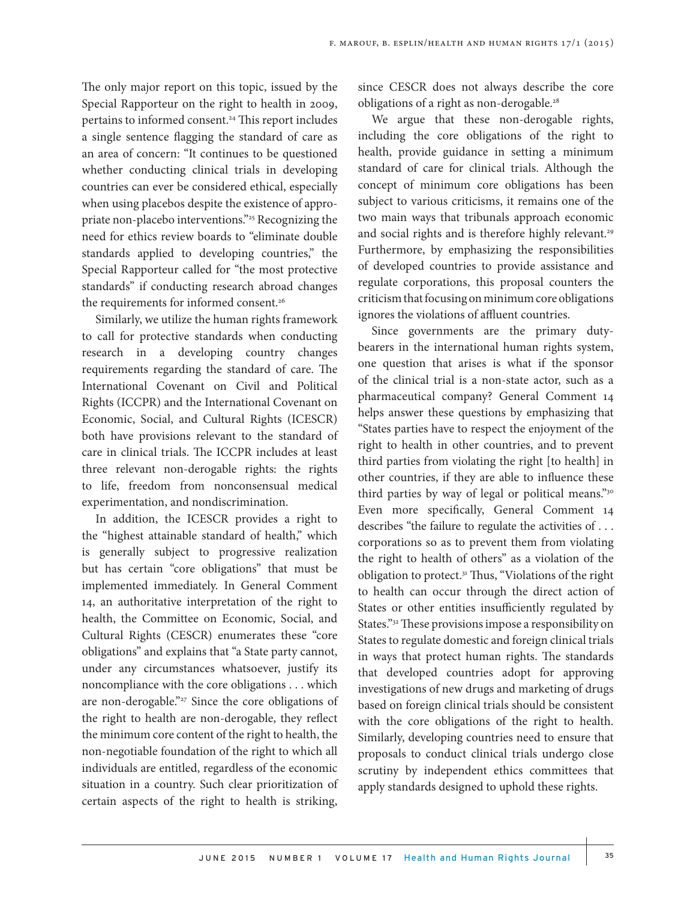The only major report on this topic, issued by the Special Rapporteur on the right to health in 2009, pertains to informed consent.<sup>24</sup> This report includes a single sentence flagging the standard of care as an area of concern: "It continues to be questioned whether conducting clinical trials in developing countries can ever be considered ethical, especially when using placebos despite the existence of appropriate non-placebo interventions."25 Recognizing the need for ethics review boards to "eliminate double standards applied to developing countries," the Special Rapporteur called for "the most protective standards" if conducting research abroad changes the requirements for informed consent.<sup>26</sup>

Similarly, we utilize the human rights framework to call for protective standards when conducting research in a developing country changes requirements regarding the standard of care. The International Covenant on Civil and Political Rights (ICCPR) and the International Covenant on Economic, Social, and Cultural Rights (ICESCR) both have provisions relevant to the standard of care in clinical trials. The ICCPR includes at least three relevant non-derogable rights: the rights to life, freedom from nonconsensual medical experimentation, and nondiscrimination.

In addition, the ICESCR provides a right to the "highest attainable standard of health," which is generally subject to progressive realization but has certain "core obligations" that must be implemented immediately. In General Comment 14, an authoritative interpretation of the right to health, the Committee on Economic, Social, and Cultural Rights (CESCR) enumerates these "core obligations" and explains that "a State party cannot, under any circumstances whatsoever, justify its noncompliance with the core obligations . . . which are non-derogable."<sup>27</sup> Since the core obligations of the right to health are non-derogable, they reflect the minimum core content of the right to health, the non-negotiable foundation of the right to which all individuals are entitled, regardless of the economic situation in a country. Such clear prioritization of certain aspects of the right to health is striking,

since CESCR does not always describe the core obligations of a right as non-derogable.<sup>28</sup>

We argue that these non-derogable rights, including the core obligations of the right to health, provide guidance in setting a minimum standard of care for clinical trials. Although the concept of minimum core obligations has been subject to various criticisms, it remains one of the two main ways that tribunals approach economic and social rights and is therefore highly relevant.<sup>29</sup> Furthermore, by emphasizing the responsibilities of developed countries to provide assistance and regulate corporations, this proposal counters the criticism that focusing on minimum core obligations ignores the violations of affluent countries.

Since governments are the primary dutybearers in the international human rights system, one question that arises is what if the sponsor of the clinical trial is a non-state actor, such as a pharmaceutical company? General Comment 14 helps answer these questions by emphasizing that "States parties have to respect the enjoyment of the right to health in other countries, and to prevent third parties from violating the right [to health] in other countries, if they are able to influence these third parties by way of legal or political means."<sup>30</sup> Even more specifically, General Comment 14 describes "the failure to regulate the activities of . . . corporations so as to prevent them from violating the right to health of others" as a violation of the obligation to protect.31 Thus, "Violations of the right to health can occur through the direct action of States or other entities insufficiently regulated by States."32 These provisions impose a responsibility on States to regulate domestic and foreign clinical trials in ways that protect human rights. The standards that developed countries adopt for approving investigations of new drugs and marketing of drugs based on foreign clinical trials should be consistent with the core obligations of the right to health. Similarly, developing countries need to ensure that proposals to conduct clinical trials undergo close scrutiny by independent ethics committees that apply standards designed to uphold these rights.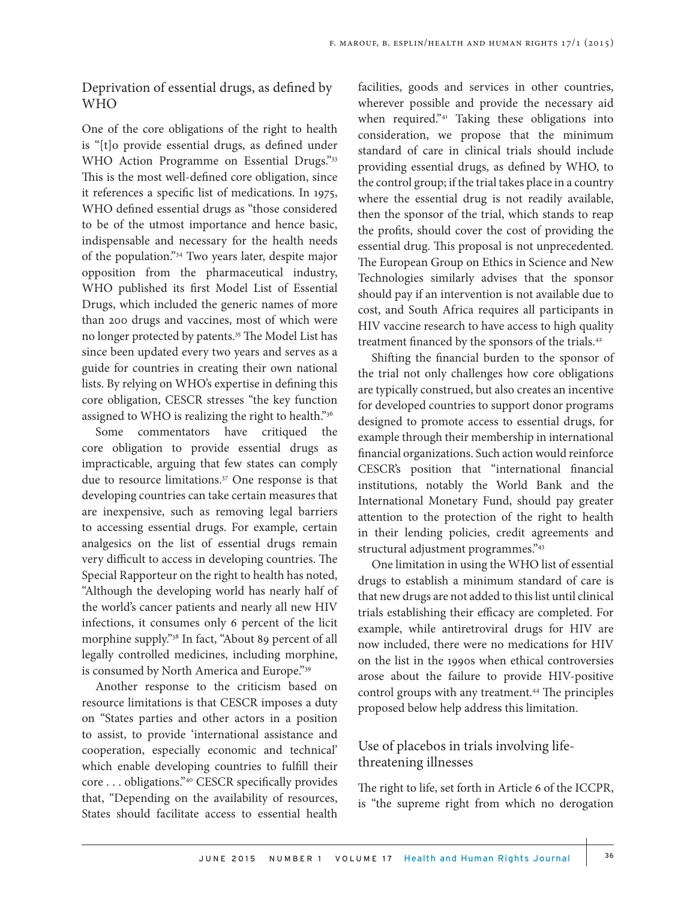#### Deprivation of essential drugs, as defined by WHO

One of the core obligations of the right to health is "[t]o provide essential drugs, as defined under WHO Action Programme on Essential Drugs."33 This is the most well-defined core obligation, since it references a specific list of medications. In 1975, WHO defined essential drugs as "those considered to be of the utmost importance and hence basic, indispensable and necessary for the health needs of the population."34 Two years later, despite major opposition from the pharmaceutical industry, WHO published its first Model List of Essential Drugs, which included the generic names of more than 200 drugs and vaccines, most of which were no longer protected by patents.<sup>35</sup> The Model List has since been updated every two years and serves as a guide for countries in creating their own national lists. By relying on WHO's expertise in defining this core obligation, CESCR stresses "the key function assigned to WHO is realizing the right to health."36

Some commentators have critiqued the core obligation to provide essential drugs as impracticable, arguing that few states can comply due to resource limitations.37 One response is that developing countries can take certain measures that are inexpensive, such as removing legal barriers to accessing essential drugs. For example, certain analgesics on the list of essential drugs remain very difficult to access in developing countries. The Special Rapporteur on the right to health has noted, "Although the developing world has nearly half of the world's cancer patients and nearly all new HIV infections, it consumes only 6 percent of the licit morphine supply."38 In fact, "About 89 percent of all legally controlled medicines, including morphine, is consumed by North America and Europe."39

Another response to the criticism based on resource limitations is that CESCR imposes a duty on "States parties and other actors in a position to assist, to provide 'international assistance and cooperation, especially economic and technical' which enable developing countries to fulfill their core . . . obligations."40 CESCR specifically provides that, "Depending on the availability of resources, States should facilitate access to essential health

facilities, goods and services in other countries, wherever possible and provide the necessary aid when required."<sup>41</sup> Taking these obligations into consideration, we propose that the minimum standard of care in clinical trials should include providing essential drugs, as defined by WHO, to the control group; if the trial takes place in a country where the essential drug is not readily available, then the sponsor of the trial, which stands to reap the profits, should cover the cost of providing the essential drug. This proposal is not unprecedented. The European Group on Ethics in Science and New Technologies similarly advises that the sponsor should pay if an intervention is not available due to cost, and South Africa requires all participants in HIV vaccine research to have access to high quality treatment financed by the sponsors of the trials.<sup>42</sup>

Shifting the financial burden to the sponsor of the trial not only challenges how core obligations are typically construed, but also creates an incentive for developed countries to support donor programs designed to promote access to essential drugs, for example through their membership in international financial organizations. Such action would reinforce CESCR's position that "international financial institutions, notably the World Bank and the International Monetary Fund, should pay greater attention to the protection of the right to health in their lending policies, credit agreements and structural adjustment programmes."43

One limitation in using the WHO list of essential drugs to establish a minimum standard of care is that new drugs are not added to this list until clinical trials establishing their efficacy are completed. For example, while antiretroviral drugs for HIV are now included, there were no medications for HIV on the list in the 1990s when ethical controversies arose about the failure to provide HIV-positive control groups with any treatment.<sup>44</sup> The principles proposed below help address this limitation.

## Use of placebos in trials involving lifethreatening illnesses

The right to life, set forth in Article 6 of the ICCPR, is "the supreme right from which no derogation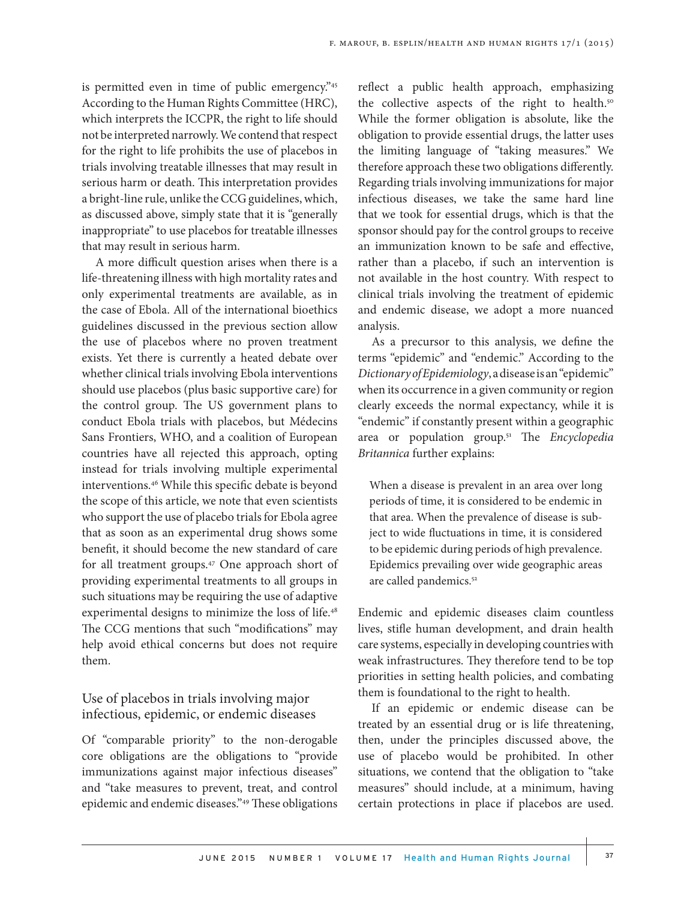is permitted even in time of public emergency."45 According to the Human Rights Committee (HRC), which interprets the ICCPR, the right to life should not be interpreted narrowly. We contend that respect for the right to life prohibits the use of placebos in trials involving treatable illnesses that may result in serious harm or death. This interpretation provides a bright-line rule, unlike the CCG guidelines, which, as discussed above, simply state that it is "generally inappropriate" to use placebos for treatable illnesses that may result in serious harm.

A more difficult question arises when there is a life-threatening illness with high mortality rates and only experimental treatments are available, as in the case of Ebola. All of the international bioethics guidelines discussed in the previous section allow the use of placebos where no proven treatment exists. Yet there is currently a heated debate over whether clinical trials involving Ebola interventions should use placebos (plus basic supportive care) for the control group. The US government plans to conduct Ebola trials with placebos, but Médecins Sans Frontiers, WHO, and a coalition of European countries have all rejected this approach, opting instead for trials involving multiple experimental interventions.46 While this specific debate is beyond the scope of this article, we note that even scientists who support the use of placebo trials for Ebola agree that as soon as an experimental drug shows some benefit, it should become the new standard of care for all treatment groups.47 One approach short of providing experimental treatments to all groups in such situations may be requiring the use of adaptive experimental designs to minimize the loss of life.48 The CCG mentions that such "modifications" may help avoid ethical concerns but does not require them.

## Use of placebos in trials involving major infectious, epidemic, or endemic diseases

Of "comparable priority" to the non-derogable core obligations are the obligations to "provide immunizations against major infectious diseases" and "take measures to prevent, treat, and control epidemic and endemic diseases."49 These obligations

reflect a public health approach, emphasizing the collective aspects of the right to health.<sup>50</sup> While the former obligation is absolute, like the obligation to provide essential drugs, the latter uses the limiting language of "taking measures." We therefore approach these two obligations differently. Regarding trials involving immunizations for major infectious diseases, we take the same hard line that we took for essential drugs, which is that the sponsor should pay for the control groups to receive an immunization known to be safe and effective, rather than a placebo, if such an intervention is not available in the host country. With respect to clinical trials involving the treatment of epidemic and endemic disease, we adopt a more nuanced analysis.

As a precursor to this analysis, we define the terms "epidemic" and "endemic." According to the *Dictionary of Epidemiology*, a disease is an "epidemic" when its occurrence in a given community or region clearly exceeds the normal expectancy, while it is "endemic" if constantly present within a geographic area or population group.51 The *Encyclopedia Britannica* further explains:

When a disease is prevalent in an area over long periods of time, it is considered to be endemic in that area. When the prevalence of disease is subject to wide fluctuations in time, it is considered to be epidemic during periods of high prevalence. Epidemics prevailing over wide geographic areas are called pandemics.<sup>52</sup>

Endemic and epidemic diseases claim countless lives, stifle human development, and drain health care systems, especially in developing countries with weak infrastructures. They therefore tend to be top priorities in setting health policies, and combating them is foundational to the right to health.

If an epidemic or endemic disease can be treated by an essential drug or is life threatening, then, under the principles discussed above, the use of placebo would be prohibited. In other situations, we contend that the obligation to "take measures" should include, at a minimum, having certain protections in place if placebos are used.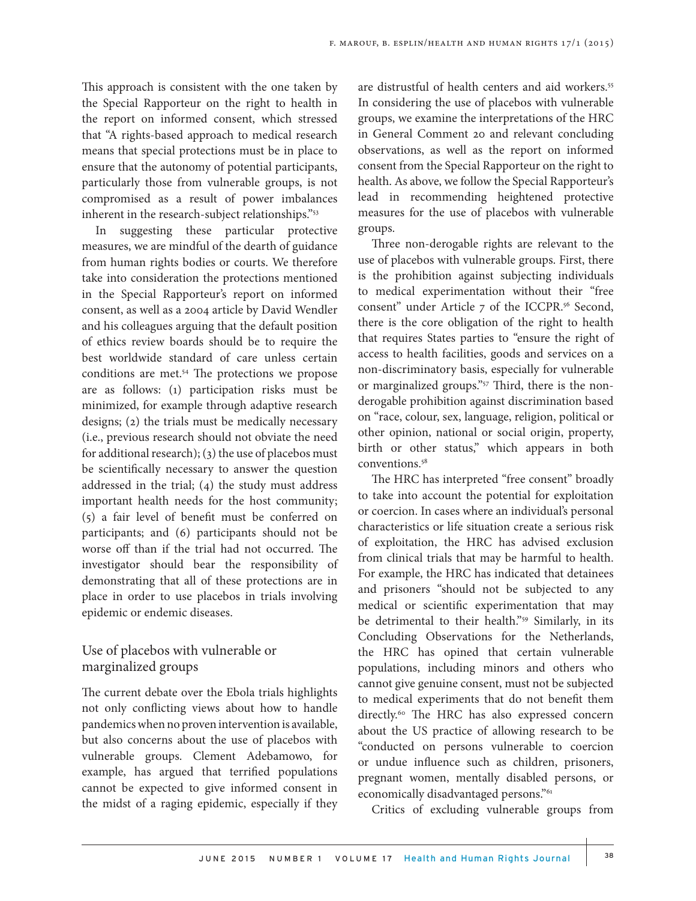This approach is consistent with the one taken by the Special Rapporteur on the right to health in the report on informed consent, which stressed that "A rights-based approach to medical research means that special protections must be in place to ensure that the autonomy of potential participants, particularly those from vulnerable groups, is not compromised as a result of power imbalances inherent in the research-subject relationships."53

In suggesting these particular protective measures, we are mindful of the dearth of guidance from human rights bodies or courts. We therefore take into consideration the protections mentioned in the Special Rapporteur's report on informed consent, as well as a 2004 article by David Wendler and his colleagues arguing that the default position of ethics review boards should be to require the best worldwide standard of care unless certain conditions are met.54 The protections we propose are as follows: (1) participation risks must be minimized, for example through adaptive research designs; (2) the trials must be medically necessary (i.e., previous research should not obviate the need for additional research); (3) the use of placebos must be scientifically necessary to answer the question addressed in the trial; (4) the study must address important health needs for the host community; (5) a fair level of benefit must be conferred on participants; and (6) participants should not be worse off than if the trial had not occurred. The investigator should bear the responsibility of demonstrating that all of these protections are in place in order to use placebos in trials involving epidemic or endemic diseases.

## Use of placebos with vulnerable or marginalized groups

The current debate over the Ebola trials highlights not only conflicting views about how to handle pandemics when no proven intervention is available, but also concerns about the use of placebos with vulnerable groups. Clement Adebamowo, for example, has argued that terrified populations cannot be expected to give informed consent in the midst of a raging epidemic, especially if they

are distrustful of health centers and aid workers.<sup>55</sup> In considering the use of placebos with vulnerable groups, we examine the interpretations of the HRC in General Comment 20 and relevant concluding observations, as well as the report on informed consent from the Special Rapporteur on the right to health. As above, we follow the Special Rapporteur's lead in recommending heightened protective measures for the use of placebos with vulnerable groups.

Three non-derogable rights are relevant to the use of placebos with vulnerable groups. First, there is the prohibition against subjecting individuals to medical experimentation without their "free consent" under Article 7 of the ICCPR.<sup>56</sup> Second, there is the core obligation of the right to health that requires States parties to "ensure the right of access to health facilities, goods and services on a non-discriminatory basis, especially for vulnerable or marginalized groups."<sup>57</sup> Third, there is the nonderogable prohibition against discrimination based on "race, colour, sex, language, religion, political or other opinion, national or social origin, property, birth or other status," which appears in both conventions.58

The HRC has interpreted "free consent" broadly to take into account the potential for exploitation or coercion. In cases where an individual's personal characteristics or life situation create a serious risk of exploitation, the HRC has advised exclusion from clinical trials that may be harmful to health. For example, the HRC has indicated that detainees and prisoners "should not be subjected to any medical or scientific experimentation that may be detrimental to their health."59 Similarly, in its Concluding Observations for the Netherlands, the HRC has opined that certain vulnerable populations, including minors and others who cannot give genuine consent, must not be subjected to medical experiments that do not benefit them directly.<sup>60</sup> The HRC has also expressed concern about the US practice of allowing research to be "conducted on persons vulnerable to coercion or undue influence such as children, prisoners, pregnant women, mentally disabled persons, or economically disadvantaged persons."61

Critics of excluding vulnerable groups from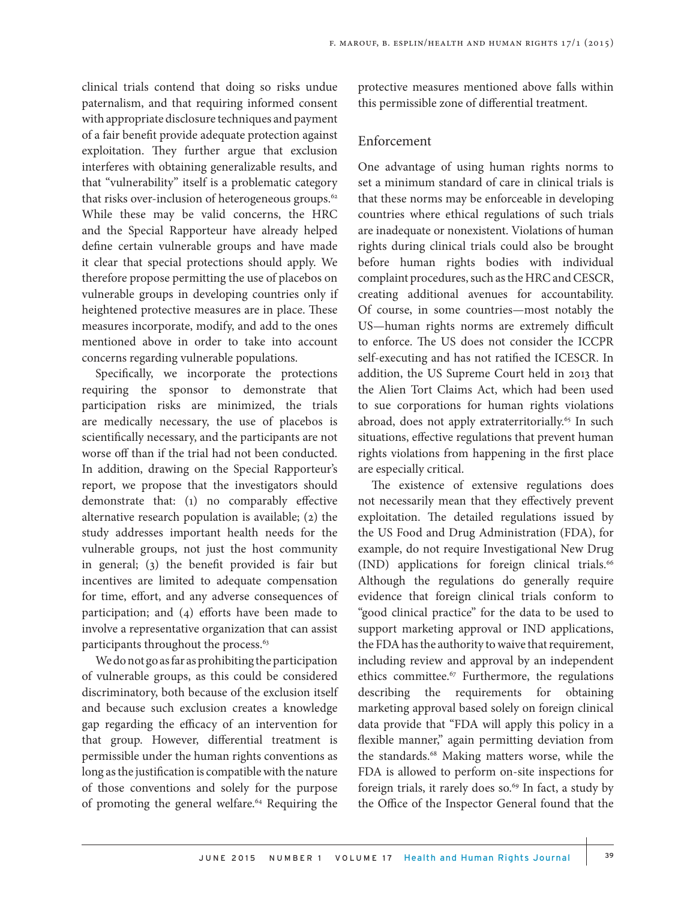clinical trials contend that doing so risks undue paternalism, and that requiring informed consent with appropriate disclosure techniques and payment of a fair benefit provide adequate protection against exploitation. They further argue that exclusion interferes with obtaining generalizable results, and that "vulnerability" itself is a problematic category that risks over-inclusion of heterogeneous groups.<sup>62</sup> While these may be valid concerns, the HRC and the Special Rapporteur have already helped define certain vulnerable groups and have made it clear that special protections should apply. We therefore propose permitting the use of placebos on vulnerable groups in developing countries only if heightened protective measures are in place. These measures incorporate, modify, and add to the ones mentioned above in order to take into account concerns regarding vulnerable populations.

Specifically, we incorporate the protections requiring the sponsor to demonstrate that participation risks are minimized, the trials are medically necessary, the use of placebos is scientifically necessary, and the participants are not worse off than if the trial had not been conducted. In addition, drawing on the Special Rapporteur's report, we propose that the investigators should demonstrate that: (1) no comparably effective alternative research population is available; (2) the study addresses important health needs for the vulnerable groups, not just the host community in general; (3) the benefit provided is fair but incentives are limited to adequate compensation for time, effort, and any adverse consequences of participation; and (4) efforts have been made to involve a representative organization that can assist participants throughout the process.<sup>63</sup>

We do not go as far as prohibiting the participation of vulnerable groups, as this could be considered discriminatory, both because of the exclusion itself and because such exclusion creates a knowledge gap regarding the efficacy of an intervention for that group. However, differential treatment is permissible under the human rights conventions as long as the justification is compatible with the nature of those conventions and solely for the purpose of promoting the general welfare.64 Requiring the

protective measures mentioned above falls within this permissible zone of differential treatment.

#### Enforcement

One advantage of using human rights norms to set a minimum standard of care in clinical trials is that these norms may be enforceable in developing countries where ethical regulations of such trials are inadequate or nonexistent. Violations of human rights during clinical trials could also be brought before human rights bodies with individual complaint procedures, such as the HRC and CESCR, creating additional avenues for accountability. Of course, in some countries—most notably the US—human rights norms are extremely difficult to enforce. The US does not consider the ICCPR self-executing and has not ratified the ICESCR. In addition, the US Supreme Court held in 2013 that the Alien Tort Claims Act, which had been used to sue corporations for human rights violations abroad, does not apply extraterritorially.<sup>65</sup> In such situations, effective regulations that prevent human rights violations from happening in the first place are especially critical.

The existence of extensive regulations does not necessarily mean that they effectively prevent exploitation. The detailed regulations issued by the US Food and Drug Administration (FDA), for example, do not require Investigational New Drug (IND) applications for foreign clinical trials.<sup>66</sup> Although the regulations do generally require evidence that foreign clinical trials conform to "good clinical practice" for the data to be used to support marketing approval or IND applications, the FDA has the authority to waive that requirement, including review and approval by an independent ethics committee.<sup>67</sup> Furthermore, the regulations describing the requirements for obtaining marketing approval based solely on foreign clinical data provide that "FDA will apply this policy in a flexible manner," again permitting deviation from the standards.68 Making matters worse, while the FDA is allowed to perform on-site inspections for foreign trials, it rarely does so.<sup>69</sup> In fact, a study by the Office of the Inspector General found that the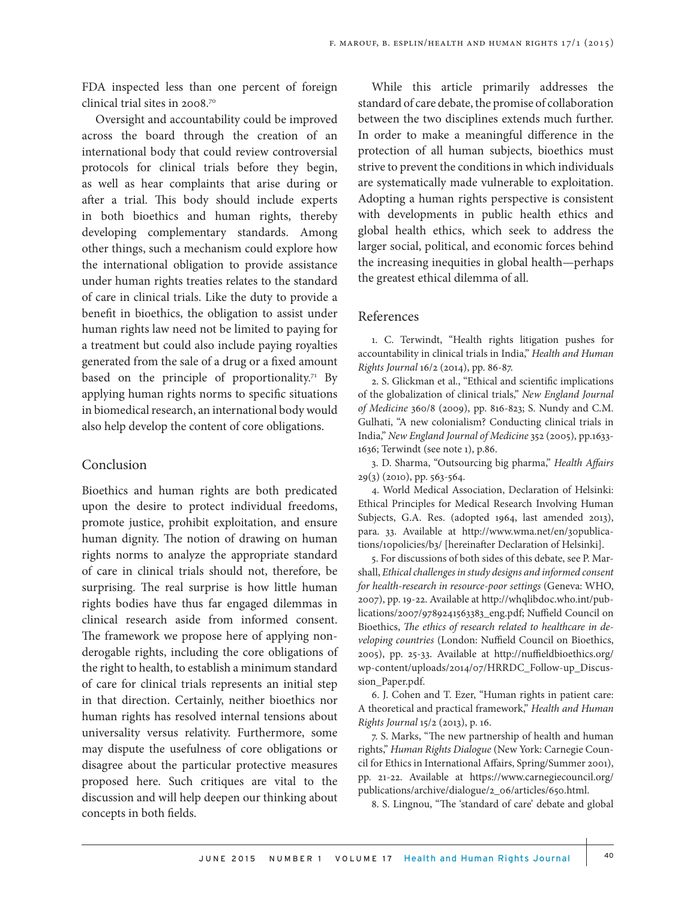FDA inspected less than one percent of foreign clinical trial sites in 2008.70

Oversight and accountability could be improved across the board through the creation of an international body that could review controversial protocols for clinical trials before they begin, as well as hear complaints that arise during or after a trial. This body should include experts in both bioethics and human rights, thereby developing complementary standards. Among other things, such a mechanism could explore how the international obligation to provide assistance under human rights treaties relates to the standard of care in clinical trials. Like the duty to provide a benefit in bioethics, the obligation to assist under human rights law need not be limited to paying for a treatment but could also include paying royalties generated from the sale of a drug or a fixed amount based on the principle of proportionality.<sup>71</sup> By applying human rights norms to specific situations in biomedical research, an international body would also help develop the content of core obligations.

#### Conclusion

Bioethics and human rights are both predicated upon the desire to protect individual freedoms, promote justice, prohibit exploitation, and ensure human dignity. The notion of drawing on human rights norms to analyze the appropriate standard of care in clinical trials should not, therefore, be surprising. The real surprise is how little human rights bodies have thus far engaged dilemmas in clinical research aside from informed consent. The framework we propose here of applying nonderogable rights, including the core obligations of the right to health, to establish a minimum standard of care for clinical trials represents an initial step in that direction. Certainly, neither bioethics nor human rights has resolved internal tensions about universality versus relativity. Furthermore, some may dispute the usefulness of core obligations or disagree about the particular protective measures proposed here. Such critiques are vital to the discussion and will help deepen our thinking about concepts in both fields.

While this article primarily addresses the standard of care debate, the promise of collaboration between the two disciplines extends much further. In order to make a meaningful difference in the protection of all human subjects, bioethics must strive to prevent the conditions in which individuals are systematically made vulnerable to exploitation. Adopting a human rights perspective is consistent with developments in public health ethics and global health ethics, which seek to address the larger social, political, and economic forces behind the increasing inequities in global health—perhaps the greatest ethical dilemma of all.

#### References

1. C. Terwindt, "Health rights litigation pushes for accountability in clinical trials in India," *Health and Human Rights Journal* 16/2 (2014), pp. 86-87.

2. S. Glickman et al., "Ethical and scientific implications of the globalization of clinical trials," *New England Journal of Medicine* 360/8 (2009), pp. 816-823; S. Nundy and C.M. Gulhati, "A new colonialism? Conducting clinical trials in India," *New England Journal of Medicine* 352 (2005), pp.1633- 1636; Terwindt (see note 1), p.86.

3. D. Sharma, "Outsourcing big pharma," *Health Affairs*   $29(3)$  (2010), pp. 563-564.

4. World Medical Association, Declaration of Helsinki: Ethical Principles for Medical Research Involving Human Subjects, G.A. Res. (adopted 1964, last amended 2013), para. 33. Available at http://www.wma.net/en/30publications/10policies/b3/ [hereinafter Declaration of Helsinki].

5. For discussions of both sides of this debate, see P. Marshall, *Ethical challenges in study designs and informed consent for health-research in resource-poor settings* (Geneva: WHO, 2007), pp. 19-22. Available at http://whqlibdoc.who.int/publications/2007/9789241563383\_eng.pdf; Nuffield Council on Bioethics, *The ethics of research related to healthcare in developing countries* (London: Nuffield Council on Bioethics, 2005), pp. 25-33. Available at http://nuffieldbioethics.org/ wp-content/uploads/2014/07/HRRDC\_Follow-up\_Discussion\_Paper.pdf.

6. J. Cohen and T. Ezer, "Human rights in patient care: A theoretical and practical framework," *Health and Human Rights Journal* 15/2 (2013), p. 16.

7. S. Marks, "The new partnership of health and human rights," *Human Rights Dialogue* (New York: Carnegie Council for Ethics in International Affairs, Spring/Summer 2001), pp. 21-22. Available at https://www.carnegiecouncil.org/ publications/archive/dialogue/2\_06/articles/650.html.

8. S. Lingnou, "The 'standard of care' debate and global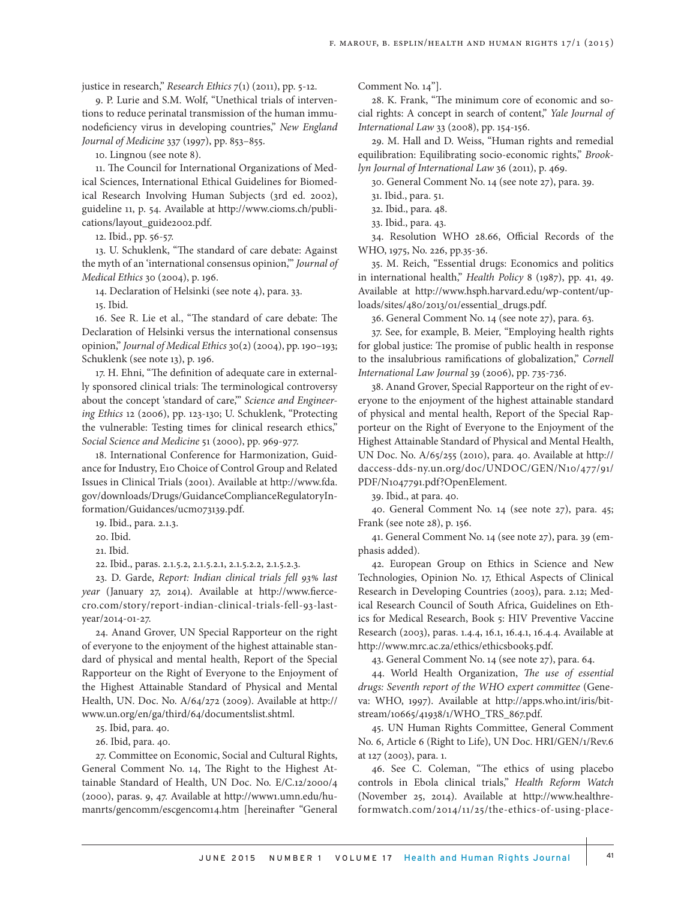justice in research," *Research Ethics* 7(1) (2011), pp. 5-12.

9. P. Lurie and S.M. Wolf, "Unethical trials of interventions to reduce perinatal transmission of the human immunodeficiency virus in developing countries," *New England Journal of Medicine* 337 (1997), pp. 853–855.

10. Lingnou (see note 8).

11. The Council for International Organizations of Medical Sciences, International Ethical Guidelines for Biomedical Research Involving Human Subjects (3rd ed. 2002), guideline 11, p. 54. Available at http://www.cioms.ch/publications/layout\_guide2002.pdf.

12. Ibid., pp. 56-57.

13. U. Schuklenk, "The standard of care debate: Against the myth of an 'international consensus opinion,'" *Journal of Medical Ethics* 30 (2004), p. 196.

14. Declaration of Helsinki (see note 4), para. 33.

15. Ibid.

16. See R. Lie et al., "The standard of care debate: The Declaration of Helsinki versus the international consensus opinion," *Journal of Medical Ethics* 30(2) (2004), pp. 190–193; Schuklenk (see note 13), p. 196.

17. H. Ehni, "The definition of adequate care in externally sponsored clinical trials: The terminological controversy about the concept 'standard of care,'" *Science and Engineering Ethics* 12 (2006), pp. 123-130; U. Schuklenk, "Protecting the vulnerable: Testing times for clinical research ethics," *Social Science and Medicine* 51 (2000), pp. 969-977.

18. International Conference for Harmonization, Guidance for Industry, E10 Choice of Control Group and Related Issues in Clinical Trials (2001). Available at http://www.fda. gov/downloads/Drugs/GuidanceComplianceRegulatoryInformation/Guidances/ucm073139.pdf.

19. Ibid., para. 2.1.3.

20. Ibid.

21. Ibid.

22. Ibid., paras. 2.1.5.2, 2.1.5.2.1, 2.1.5.2.2, 2.1.5.2.3.

23. D. Garde, *Report: Indian clinical trials fell 93% last year* (January 27, 2014). Available at http://www.fiercecro.com/story/report-indian-clinical-trials-fell-93-lastyear/2014-01-27.

24. Anand Grover, UN Special Rapporteur on the right of everyone to the enjoyment of the highest attainable standard of physical and mental health, Report of the Special Rapporteur on the Right of Everyone to the Enjoyment of the Highest Attainable Standard of Physical and Mental Health, UN. Doc. No. A/64/272 (2009). Available at http:// www.un.org/en/ga/third/64/documentslist.shtml.

25. Ibid, para. 40.

26. Ibid, para. 40.

27. Committee on Economic, Social and Cultural Rights, General Comment No. 14, The Right to the Highest Attainable Standard of Health, UN Doc. No. E/C.12/2000/4 (2000), paras. 9, 47. Available at http://www1.umn.edu/humanrts/gencomm/escgencom14.htm [hereinafter "General Comment No. 14"].

28. K. Frank, "The minimum core of economic and social rights: A concept in search of content," *Yale Journal of International Law* 33 (2008), pp. 154-156.

29. M. Hall and D. Weiss, "Human rights and remedial equilibration: Equilibrating socio-economic rights," *Brooklyn Journal of International Law* 36 (2011), p. 469.

30. General Comment No. 14 (see note 27), para. 39.

31. Ibid., para. 51.

32. Ibid., para. 48.

33. Ibid., para. 43.

34. Resolution WHO 28.66, Official Records of the WHO, 1975, No. 226, pp.35-36.

35. M. Reich, "Essential drugs: Economics and politics in international health," *Health Policy* 8 (1987), pp. 41, 49. Available at http://www.hsph.harvard.edu/wp-content/uploads/sites/480/2013/01/essential\_drugs.pdf.

36. General Comment No. 14 (see note 27), para. 63.

37. See, for example, B. Meier, "Employing health rights for global justice: The promise of public health in response to the insalubrious ramifications of globalization," *Cornell International Law Journal* 39 (2006), pp. 735-736.

38. Anand Grover, Special Rapporteur on the right of everyone to the enjoyment of the highest attainable standard of physical and mental health, Report of the Special Rapporteur on the Right of Everyone to the Enjoyment of the Highest Attainable Standard of Physical and Mental Health, UN Doc. No. A/65/255 (2010), para. 40. Available at http:// daccess-dds-ny.un.org/doc/UNDOC/GEN/N10/477/91/ PDF/N1047791.pdf?OpenElement.

39. Ibid., at para. 40.

40. General Comment No. 14 (see note 27), para. 45; Frank (see note 28), p. 156.

41. General Comment No. 14 (see note 27), para. 39 (emphasis added).

42. European Group on Ethics in Science and New Technologies, Opinion No. 17, Ethical Aspects of Clinical Research in Developing Countries (2003), para. 2.12; Medical Research Council of South Africa, Guidelines on Ethics for Medical Research, Book 5: HIV Preventive Vaccine Research (2003), paras. 1.4.4, 16.1, 16.4.1, 16.4.4. Available at http://www.mrc.ac.za/ethics/ethicsbook5.pdf.

43. General Comment No. 14 (see note 27), para. 64.

44. World Health Organization, *The use of essential drugs: Seventh report of the WHO expert committee* (Geneva: WHO, 1997). Available at http://apps.who.int/iris/bitstream/10665/41938/1/WHO\_TRS\_867.pdf.

45. UN Human Rights Committee, General Comment No. 6, Article 6 (Right to Life), UN Doc. HRI/GEN/1/Rev.6 at 127 (2003), para. 1.

46. See C. Coleman, "The ethics of using placebo controls in Ebola clinical trials," *Health Reform Watch* (November 25, 2014). Available at http://www.healthreformwatch.com/2014/11/25/the-ethics-of-using-place